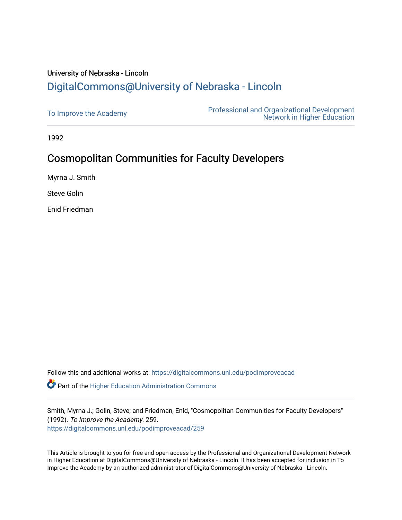## University of Nebraska - Lincoln [DigitalCommons@University of Nebraska - Lincoln](https://digitalcommons.unl.edu/)

| To Improve the Academy | <b>Professional and Organizational Development</b><br><b>Network in Higher Education</b> |
|------------------------|------------------------------------------------------------------------------------------|
|------------------------|------------------------------------------------------------------------------------------|

1992

# Cosmopolitan Communities for Faculty Developers

Myrna J. Smith

Steve Golin

Enid Friedman

Follow this and additional works at: [https://digitalcommons.unl.edu/podimproveacad](https://digitalcommons.unl.edu/podimproveacad?utm_source=digitalcommons.unl.edu%2Fpodimproveacad%2F259&utm_medium=PDF&utm_campaign=PDFCoverPages)

**Part of the Higher Education Administration Commons** 

Smith, Myrna J.; Golin, Steve; and Friedman, Enid, "Cosmopolitan Communities for Faculty Developers" (1992). To Improve the Academy. 259. [https://digitalcommons.unl.edu/podimproveacad/259](https://digitalcommons.unl.edu/podimproveacad/259?utm_source=digitalcommons.unl.edu%2Fpodimproveacad%2F259&utm_medium=PDF&utm_campaign=PDFCoverPages)

This Article is brought to you for free and open access by the Professional and Organizational Development Network in Higher Education at DigitalCommons@University of Nebraska - Lincoln. It has been accepted for inclusion in To Improve the Academy by an authorized administrator of DigitalCommons@University of Nebraska - Lincoln.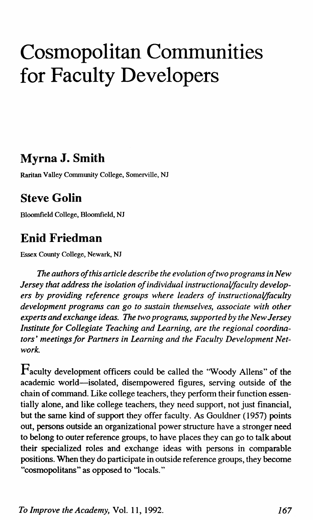# **Cosmopolitan Communities for Faculty Developers**

## **Myrna J. Smith**

Raritan Valley Community College, Somerville, NJ

## **Steve Golin**

Bloomfield College, Bloomfield, NJ

## **Enid Friedman**

Essex Connty College, Newark, NJ

*The authors of this article describe the evolution of two programs in New Jersey that address the isolation of individual instructional/faculty developers by providing reference groups where leaders of instructional/faculty development programs can go to sustain themselves, associate with other experts and exchange ideas. The two programs, supported by the New Jersey Institute for Collegiate Teaching and Learning, are the regional coordinators' meetings for Partners in Learning and the Faculty Development Network.* 

 $F_{\text{aculty}}$  development officers could be called the "Woody Allens" of the academic world-isolated, disempowered figures, serving outside of the chain of command. Like college teachers, they perform their function essentially alone, and like college teachers, they need support, not just financial, but the same kind of support they offer faculty. As Gouldner (1957) points out, persons outside an organizational power structure have a stronger need to belong to outer reference groups, to have places they can go to talk about their specialized roles and exchange ideas with persons in comparable positions. When they do participate in outside reference groups, they become "cosmopolitans" as opposed to "locals."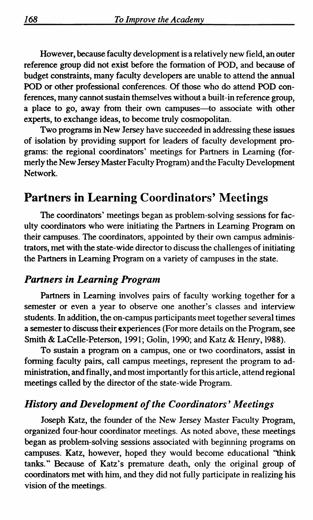However, because faculty development is a relatively new field, an outer reference group did not exist before the formation of POD, and because of budget constraints, many faculty developers are unable to attend the annual POD or other professional conferences. Of those who do attend POD conferences, many cannot sustain themselves without a built-in reference group, a place to go, away from their own campuses-to associate with other experts, to exchange ideas, to become truly cosmopolitan.

Two programs in New Jersey have succeeded in addressing these issues of isolation by providing support for leaders of faculty development programs: the regional coordinators' meetings for Partners in Learning (formerly the New Jersey Master Faculty Program) and the Faculty Development Network.

#### Partners in Learning Coordinators' Meetings

The coordinators' meetings began as problem-solving sessions for faculty coordinators who were initiating the Partners in Learning Program on their campuses. The coordinators, appointed by their own campus administrators, met with the state-wide director to discuss the challenges of initiating the Partners in Learning Program on a variety of campuses in the state.

#### *Partners in Learning Program*

Partners in Learning involves pairs of faculty working together for a semester or even a year to observe one another's classes and interview students. In addition, the on-campus participants meet together several times a semester to discuss their experiences (For more details on the Program, see Smith & LaCelle-Peterson, 1991; Golin, 1990; and Katz & Henry, 1988).

To sustain a program on a campus, one or two coordinators, assist in forming faculty pairs, call campus meetings, represent the program to administration, and finally, and most importantly for this article, attend regional meetings called by the director of the state-wide Program.

#### *History and Development of the Coordinators' Meetings*

Joseph Katz, the founder of the New Jersey Master Faculty Program, organized four-hour coordinator meetings. As noted above, these meetings began as problem-solving sessions associated with beginning programs on campuses. Katz, however, hoped they would become educational "think tanks." Because of Katz's premature death, only the original group of coordinators met with him, and they did not fully participate in realizing his vision of the meetings.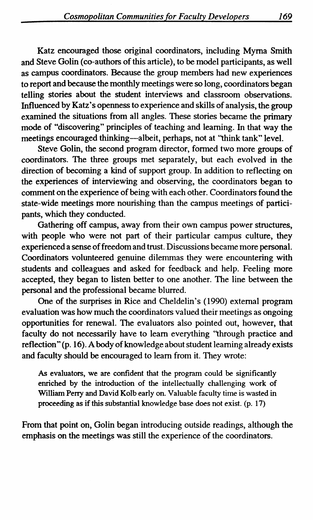Katz encouraged those original coordinators, including Myrna Smith and Steve Golin (co-authors of this article), to be model participants, as well as campus coordinators. Because the group members had new experiences to report and because the monthly meetings were so long, coordinators began telling stories about the student interviews and classroom observations. Influenced by Katz's openness to experience and skills of analysis, the group examined the situations from all angles. These stories became the primary mode of "discovering" principles of teaching and learning. In that way the meetings encouraged thinking-albeit, perhaps, not at "think tank" level.

Steve Golin, the second program director, formed two more groups of coordinators. The three groups met separately, but each evolved in the direction of becoming a kind of support group. In addition to reflecting on the experiences of interviewing and observing, the coordinators began to comment on the experience of being with each other. Coordinators found the state-wide meetings more nourishing than the campus meetings of participants, which they conducted.

Gathering off campus, away from their own campus power structures, with people who were not part of their particular campus culture, they experienced a sense of freedom and trust. Discussions became more personal. Coordinators volunteered genuine dilemmas they were encountering with students and colleagues and asked for feedback and help. Feeling more accepted, they began to listen better to one another. The line between the personal and the professional became blurred.

One of the surprises in Rice and Cheldelin's (1990) external program evaluation was how much the coordinators valued their meetings as ongoing opportunities for renewal. The evaluators also pointed out, however, that faculty do not necessarily have to learn everything "through practice and reflection" (p. 16). A body of knowledge about student learning already exists and faculty should be encouraged to learn from it. They wrote:

*As* evaluators, we are confident that the program could be significantly enriched by the introduction of the intellectually challenging work of William Perry and David Kolb early on. Valuable faculty time is wasted in proceeding as if this substantial knowledge base does not exist. (p. 17)

From that point on, Golin began introducing outside readings, although the emphasis on the meetings was still the experience of the coordinators.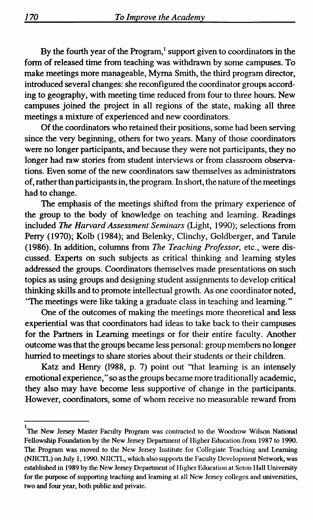By the fourth year of the Program, $<sup>1</sup>$  support given to coordinators in the</sup> form of released time from teaching was withdrawn by some campuses. To make meetings more manageable, Myrna Smith, the third program director, introduced several changes: she reconfigured the coordinator groups according to geography, with meeting time reduced from four to three hours. New campuses joined the project in all regions of the state, making all three meetings a mixture of experienced and new coordinators.

Of the coordinators who retained their positions, some had been serving since the very beginning, others for two years. Many of those coordinators were no longer participants, and because they were not participants, they no longer had raw stories from student interviews or from classroom observations. Even some of the new coordinators saw themselves as administrators of, rather than participants in, the program. In short, the nature of the meetings had to change.

The emphasis of the meetings shifted from the primary experience of the group to the body of knowledge on teaching and learning. Readings included *The Harvard Assessment Seminars* (Light, 1990); selections from Perry (1970); Kolb (1984); and Belenky, Clinchy, Goldberger, and Tarule (1986). In addition, columns from *The Teaching Professor,* etc., were discussed. Experts on such subjects as critical thinking and learning styles addressed the groups. Coordinators themselves made presentations on such topics as using groups and designing student assignments to develop critical thinking skills and to promote intellectual growth. As one coordinator noted, 'The meetings were like taking a graduate class in teaching and learning."

One of the outcomes of making the meetings more theoretical and less experiential was that coordinators had ideas to take back to their campuses for the Partners in Learning meetings or for their entire faculty. Another outcome was that the groups became less personal: group members no longer hurried to meetings to share stories about their students or their children.

Katz and Henry (1988, p. 7) point out "that learning is an intensely emotional experience," so as the groups became more traditionally academic, they also may have become less supportive of change in the participants. However, coordinators, some of whom receive no measurable reward from

<sup>&</sup>lt;sup>1</sup> The New Jersey Master Faculty Program was contracted to the Woodrow Wilson National Fellowship Foundation by the New Jersey Department of Higher Education from 1987 to 1990. The Program was moved to the New Jersey Institute for Collegiate Teaching and Learning (NJICTL) on July 1, 1990. NJICfL, which also supports the Faculty Development Network, was established in 1989 by the New Jersey Department of Higher Education at Seton Hall University for the purpose of supporting teaching and learning at all New Jersey colleges and universities, two and four year, both public and private.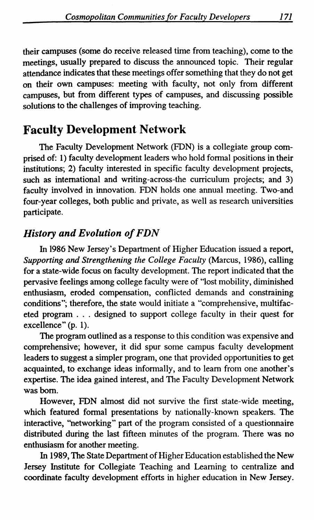their campuses (some do receive released time from teaching), come to the meetings, usually prepared to discuss the announced topic. Their regular attendance indicates that these meetings offer something that they do not get on their own campuses: meeting with faculty, not only from different campuses, but from different types of campuses, and discussing possible solutions to the challenges of improving teaching.

## Faculty Development Network

The Faculty Development Network (FDN) is a collegiate group comprised of: 1) faculty development leaders who hold formal positions in their institutions; 2) faculty interested in specific faculty development projects, such as international and writing-across-the curriculum projects; and 3) faculty involved in innovation. FDN holds one annual meeting. Two-and four-year colleges, both public and private, as well as research universities participate.

#### *History and Evolution of FDN*

In 1986 New Jersey's Department of Higher Education issued a report, *Supporting and Strengthening the College Faculty* (Marcus, 1986), calling for a state-wide focus on faculty development. The report indicated that the pervasive feelings among college faculty were of "lost mobility, diminished enthusiasm, eroded compensation, conflicted demands and constraining conditions"; therefore, the state would initiate a "comprehensive, multifaceted program . . . designed to support college faculty in their quest for excellence" (p. 1).

The program outlined as a response to this condition was expensive and comprehensive; however, it did spur some campus faculty development leaders to suggest a simpler program, one that provided opportunities to get acquainted, to exchange ideas informally, and to learn from one another's expertise. The idea gained interest, and The Faculty Development Network was born.

However, FDN almost did not survive the first state-wide meeting, which featured formal presentations by nationally-known speakers. The interactive, "networking" part of the program consisted of a questionnaire distributed during the last fifteen minutes of the program. There was no enthusiasm for another meeting.

In 1989, The State Department of Higher Education established the New Jersey Institute for Collegiate Teaching and Learning to centralize and coordinate faculty development efforts in higher education in New Jersey.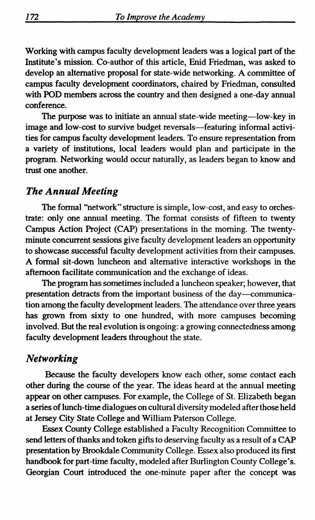Working with campus faculty development leaders was a logical part of the Institute's mission. Co-author of this article, Enid Friedman, was asked to develop an alternative proposal for state-wide networking. A committee of campus faculty development coordinators, chaired by Friedman, consulted with POD members across the country and then designed a one-day annual conference.

The purpose was to initiate an annual state-wide meeting-low-key in image and low-cost to survive budget reversals—featuring informal activities for campus faculty development leaders. To ensure representation from a variety of institutions, local leaders would plan and participate in the program. Networking would occur naturally, as leaders began to know and trust one another.

#### *The Annual Meeting*

The formal "network" structure is simple, low-cost, and easy to orchestrate: only one annual meeting. The format consists of fifteen to twenty Campus Action Project (CAP) presentations in the morning. The twentyminute concurrent sessions give faculty development leaders an opportunity to showcase successful faculty development activities from their campuses. A formal sit-down luncheon and alternative interactive workshops in the afternoon facilitate communication and the exchange of ideas.

The program has sometimes included a luncheon speaker; however, that presentation detracts from the important business of the day-communication among the faculty development leaders. The attendance over three years has grown from sixty to one hundred, with more campuses becoming involved. But the real evolution is ongoing: a growing connectedness among faculty development leaders throughout the state.

#### *Networking*

Because the faculty developers know each other, some contact each other during the course of the year. The ideas heard at the annual meeting appear on other campuses. For example, the College of St. Elizabeth began a series of lunch-time dialogues on cultural diversity modeled after those held at Jersey City State College and William Paterson College.

Essex County College established a Faculty Recognition Committee to send letters of thanks and token gifts to deserving faculty as a result of a CAP presentation by Brookdale Community College. Essex also produced its first handbook for part-time faculty, modeled after Burlington County College's. Georgian Court introduced the one-minute paper after the concept was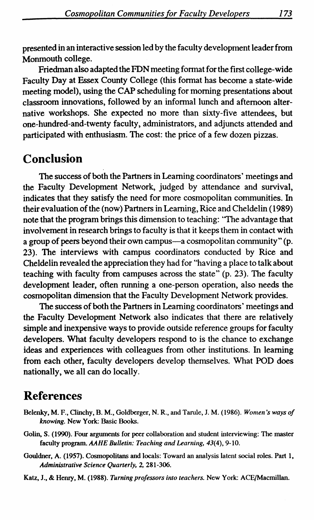presented in an interactive session led by the faculty development leader from Monmouth college.

Friedman also adapted the FDN meeting format for the first college-wide Faculty Day at Essex County College (this format has become a state-wide meeting model), using the CAP scheduling for morning presentations about classroom innovations, followed by an informal lunch and afternoon alternative workshops. She expected no more than sixty-five attendees, but one-hundred-and-twenty faculty, administrators, and adjuncts attended and participated with enthusiasm. The cost: the price of a few dozen pizzas.

### **Conclusion**

The success of both the Partners in Learning coordinators' meetings and the Faculty Development Network, judged by attendance and survival, indicates that they satisfy the need for more cosmopolitan communities. In their evaluation of the (now) Partners in Learning, Rice and Cheldelin ( 1989) note that the program brings this dimension to teaching: 'The advantage that involvement in research brings to faculty is that it keeps them in contact with a group of peers beyond their own campus-a cosmopolitan community" (p. 23). The interviews with campus coordinators conducted by Rice and Cheldelin revealed the appreciation they had for "having a place to talk about teaching with faculty from campuses across the state" (p. 23). The faculty development leader, often running a one-person operation, also needs the cosmopolitan dimension that the Faculty Development Network provides.

The success of both the Partners in Learning coordinators' meetings and the Faculty Development Network also indicates that there are relatively simple and inexpensive ways to provide outside reference groups for faculty developers. What faculty developers respond to is the chance to exchange ideas and experiences with colleagues from other institutions. In learning from each other, faculty developers develop themselves. What POD does nationally, we all can do locally.

## **References**

- Belenky, M. F., Clinchy, B. M., Goldberger, N. R., and Tarule, J. M. (1986). *Women's ways of knowing.* New York: Basic Books.
- Golin, S. (1990). Four argmnents for peer collaboration and student interviewing: The master faculty program. *AAHE Bulletin: Teaching and Learning, 43(4),* 9-10.
- Gouldner, A. (1957). Cosmopolitans and locals: Toward an analysis latent social roles. Part 1, *Administrative Science Quarterly,* 2, 281-306.
- Katz, J., & Henry, M. (1988). *Turning professors into teachers*. New York: ACE/Macmillan.